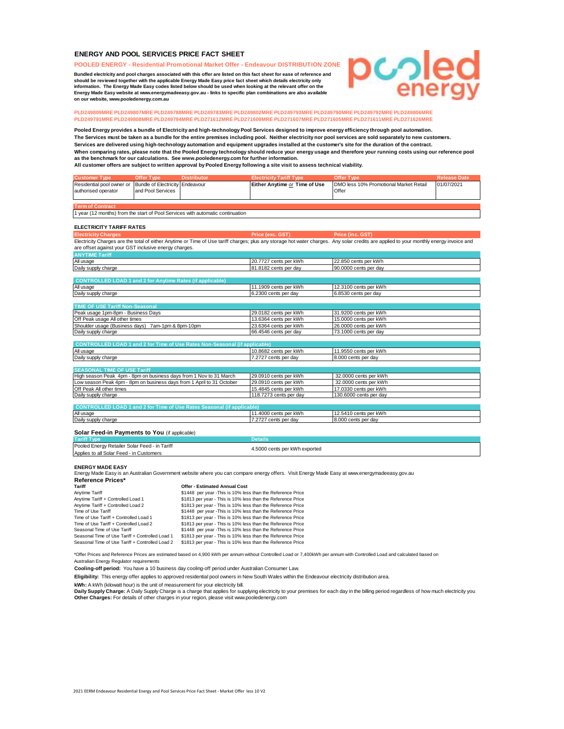# **ENERGY AND POOL SERVICES PRICE FACT SHEET**

**POOLED ENERGY - Residential Promotional Market Offer - Endeavour DISTRIBUTION ZONE**

**Bundled electricity and pool charges associated with this offer are listed on this fact sheet for ease of reference and should be reviewed together with the applicable Energy Made Easy price fact sheet which details electricity only information. The Energy Made Easy codes listed below should be used when looking at the relevant offer on the Energy Made Easy website at www.energymadeeasy.gov.au - links to specific plan combinations are also available on our website, www.pooledenergy.com.au**

# ပ္ပွာခြ

# **PLD249809MRE PLD249807MRE PLD249788MRE PLD249783MRE PLD249802MRE PLD249793MRE PLD249790MRE PLD249792MRE PLD249806MRE PLD249791MRE PLD249808MRE PLD249794MRE PLD271612MRE PLD271609MRE PLD271607MRE PLD271605MRE PLD271611MRE PLD271626MRE**

**All customer offers are subject to written approval by Pooled Energy following a site visit to assess technical viability. Pooled Energy provides a bundle of Electricity and high-technology Pool Services designed to improve energy efficiency through pool automation. When comparing rates, please note that the Pooled Energy technology should reduce your energy usage and therefore your running costs using our reference pool as the benchmark for our calculations. See www.pooledenergy.com for further information. The Services must be taken as a bundle for the entire premises including pool. Neither electricity nor pool services are sold separately to new customers. Services are delivered using high-technology automation and equipment upgrades installed at the customer's site for the duration of the contract.**

| <b>Customer Type</b>                                                           | <b>Offer Type</b>                      | <b>Distributor</b>                                                                | <b>Electricity Tariff Type</b>                 | <b>Offer Type</b>                                                                                                                                                                       | <b>Release Date</b> |  |
|--------------------------------------------------------------------------------|----------------------------------------|-----------------------------------------------------------------------------------|------------------------------------------------|-----------------------------------------------------------------------------------------------------------------------------------------------------------------------------------------|---------------------|--|
| Residential pool owner or                                                      | <b>Bundle of Electricity Endeavour</b> |                                                                                   | Either Anytime or Time of Use                  | DMO less 10% Promotional Market Retail                                                                                                                                                  | 01/07/2021          |  |
| authorised operator                                                            | and Pool Services                      |                                                                                   |                                                | Offer                                                                                                                                                                                   |                     |  |
|                                                                                |                                        |                                                                                   |                                                |                                                                                                                                                                                         |                     |  |
| <b>Term of Contract</b>                                                        |                                        |                                                                                   |                                                |                                                                                                                                                                                         |                     |  |
| 1 year (12 months) from the start of Pool Services with automatic continuation |                                        |                                                                                   |                                                |                                                                                                                                                                                         |                     |  |
|                                                                                |                                        |                                                                                   |                                                |                                                                                                                                                                                         |                     |  |
| <b>ELECTRICITY TARIFF RATES</b>                                                |                                        |                                                                                   |                                                |                                                                                                                                                                                         |                     |  |
| <b>Electricity Charges</b>                                                     |                                        |                                                                                   | Price (exc. GST)                               | Price (inc. GST)                                                                                                                                                                        |                     |  |
|                                                                                |                                        |                                                                                   |                                                | Electricity Charges are the total of either Anytime or Time of Use tariff charges; plus any storage hot water charges. Any solar credits are applied to your monthly energy invoice and |                     |  |
| are offset against your GST inclusive energy charges.                          |                                        |                                                                                   |                                                |                                                                                                                                                                                         |                     |  |
| <b>ANYTIME Tariff</b>                                                          |                                        |                                                                                   |                                                |                                                                                                                                                                                         |                     |  |
| All usage                                                                      |                                        |                                                                                   | 20.7727 cents per kWh                          | 22.850 cents per kWh                                                                                                                                                                    |                     |  |
| Daily supply charge                                                            |                                        |                                                                                   | 81.8182 cents per day                          | 90.0000 cents per day                                                                                                                                                                   |                     |  |
|                                                                                |                                        |                                                                                   |                                                |                                                                                                                                                                                         |                     |  |
| <b>CONTROLLED LOAD 1 and 2 for Anytime Rates (if applicable)</b>               |                                        |                                                                                   |                                                |                                                                                                                                                                                         |                     |  |
| All usage                                                                      |                                        |                                                                                   | 11.1909 cents per kWh                          | 12.3100 cents per kWh                                                                                                                                                                   |                     |  |
| Daily supply charge                                                            |                                        |                                                                                   | 6.2300 cents per day                           | 6.8530 cents per day                                                                                                                                                                    |                     |  |
|                                                                                |                                        |                                                                                   |                                                |                                                                                                                                                                                         |                     |  |
| <b>TIME OF USE Tariff Non-Seasonal</b>                                         |                                        |                                                                                   |                                                |                                                                                                                                                                                         |                     |  |
| Peak usage 1pm-8pm - Business Days                                             |                                        |                                                                                   | 29.0182 cents per kWh<br>13.6364 cents per kWh | 31.9200 cents per kWh                                                                                                                                                                   |                     |  |
|                                                                                | Off Peak usage All other times         |                                                                                   |                                                | 15.0000 cents per kWh                                                                                                                                                                   |                     |  |
| Shoulder usage (Business days) 7am-1pm & 8pm-10pm                              |                                        |                                                                                   | 23.6364 cents per kWh                          | 26.0000 cents per kWh                                                                                                                                                                   |                     |  |
| Daily supply charge                                                            |                                        |                                                                                   | 66.4546 cents per day                          | 73.1000 cents per day                                                                                                                                                                   |                     |  |
|                                                                                |                                        |                                                                                   |                                                |                                                                                                                                                                                         |                     |  |
|                                                                                |                                        | <b>CONTROLLED LOAD 1 and 2 for Time of Use Rates Non-Seasonal (if applicable)</b> |                                                |                                                                                                                                                                                         |                     |  |
| All usage                                                                      |                                        |                                                                                   | 10.8682 cents per kWh                          | 11.9550 cents per kWh                                                                                                                                                                   |                     |  |
| Daily supply charge                                                            |                                        |                                                                                   | 7.2727 cents per day                           | 8.000 cents per day                                                                                                                                                                     |                     |  |
| <b>SEASONAL TIME OF USE Tariff</b>                                             |                                        |                                                                                   |                                                |                                                                                                                                                                                         |                     |  |
| High season Peak 4pm - 8pm on business days from 1 Nov to 31 March             |                                        |                                                                                   | 29.0910 cents per kWh                          | 32.0000 cents per kWh                                                                                                                                                                   |                     |  |
| Low season Peak 4pm - 8pm on business days from 1 April to 31 October          |                                        |                                                                                   | 29.0910 cents per kWh                          | 32.0000 cents per kWh                                                                                                                                                                   |                     |  |
| Off Peak All other times                                                       |                                        |                                                                                   | 15.4845 cents per kWh                          | 17.0330 cents per kWh                                                                                                                                                                   |                     |  |
| Daily supply charge                                                            |                                        |                                                                                   |                                                | 130.6000 cents per day                                                                                                                                                                  |                     |  |
|                                                                                |                                        |                                                                                   | 118.7273 cents per day                         |                                                                                                                                                                                         |                     |  |
| <b>CONTROLLED LOAD 1 and 2 for Time of Use Rates Seasonal (if applicable)</b>  |                                        |                                                                                   |                                                |                                                                                                                                                                                         |                     |  |
| All usage                                                                      |                                        |                                                                                   | 11.4000 cents per kWh                          | 12.5410 cents per kWh                                                                                                                                                                   |                     |  |
| Daily supply charge                                                            |                                        |                                                                                   | 7.2727 cents per day                           | 8.000 cents per day                                                                                                                                                                     |                     |  |
|                                                                                |                                        |                                                                                   |                                                |                                                                                                                                                                                         |                     |  |
| Solar Feed-in Payments to You (if applicable)                                  |                                        |                                                                                   |                                                |                                                                                                                                                                                         |                     |  |

### **Details** Pooled Energy Retailer Solar Feed - in Tariff Applies to all Solar Feed - in Customers **Tariff Type** 4.5000 cents per kWh exported

## **ENERGY MADE EASY**

Energy Made Easy is an Australian Government website where you can compare energy offers. Visit Energy Made Easy at www.energymadeeasy.gov.au

# Tariff **Tariff Tariff Tariff Cost Cost Cost Cost Cost Cost Cost Cost Cost Cost Cost Cost Cost Cost Cost Cost Cost Cost Cost Cost Cost Cost Cost Cost Cost Cost Cost** Anytime Tariff \$1448 per year -This is 10% less than the Reference Price Anytime Tariff + Controlled Load 1 \$1813 per year - This is 10% less than the Reference Price Anytime Tariff + Controlled Load 2 \$1813 per year - This is 10% less than the Reference Price<br>
Time of Use Tariff + Controlled Load 2 \$1813 per year - This is 10% less than the Reference Price Time of Use Tariff \* This is 10% less than the Reference Price<br>
Time of Use Tariff + Controlled Load 1 51813 per year - This is 10% less than the Reference Price Time of Use Tariff + Controlled Load 1 \$1813 per year - This is 10% less than the Reference Price Time of Use Tariff + Controlled Load 2 \$1813 per year - This is 10% less than the Reference Price<br>
\$1448 per year - This is 10% less than the Reference Price \$1448 per year -This is 10% less than the Reference Price Seasonal Time of Use Tariff + Controlled Load 1 § 1813 per year - This is 10% less than the Reference Price<br>Seasonal Time of Use Tariff + Controlled Load 2 § 1813 per year - This is 10% less than the Reference Price **Reference Prices\***

\*Offer Prices and Reference Prices are estimated based on 4,900 kWh per annum without Controlled Load or 7,400kWh per annum with Controlled Load and calculated based on Australian Energy Regulator requirements

**Cooling-off period:** You have a 10 business day cooling-off period under Australian Consumer Law.

**Eligibility:** This energy offer applies to approved residential pool owners in New South Wales within the Endeavour electricity distribution area.

**kWh:** A kWh (kilowatt hour) is the unit of measurement for your electricity bill.

**Other Charges:** For details of other charges in your region, please visit www.pooledenergy.com **Daily Supply Charge:** A Daily Supply Charge is a charge that applies for supplying electricity to your premises for each day in the billing period regardless of how much electricity you